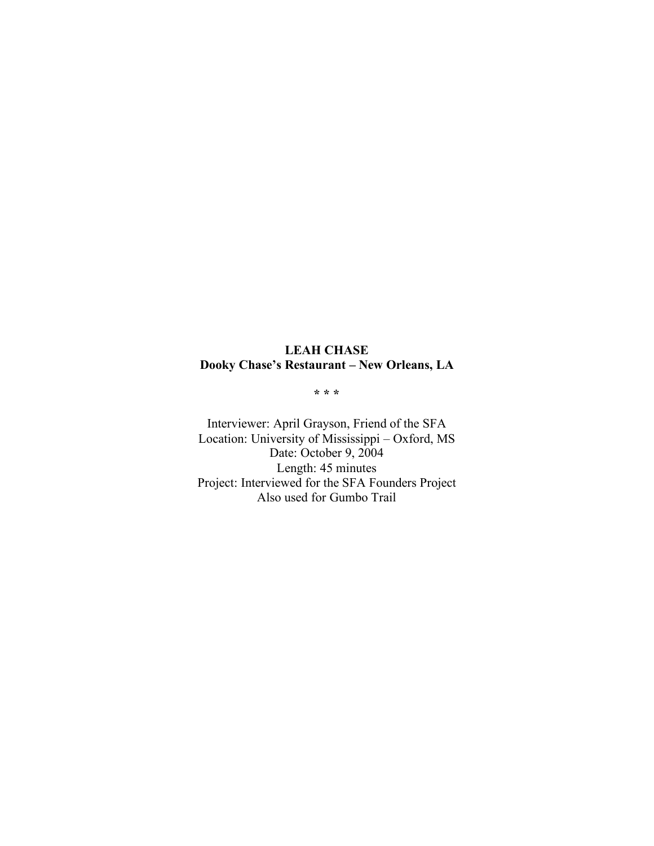# **LEAH CHASE Dooky Chase's Restaurant – New Orleans, LA**

**\* \* \***

Interviewer: April Grayson, Friend of the SFA Location: University of Mississippi – Oxford, MS Date: October 9, 2004 Length: 45 minutes Project: Interviewed for the SFA Founders Project Also used for Gumbo Trail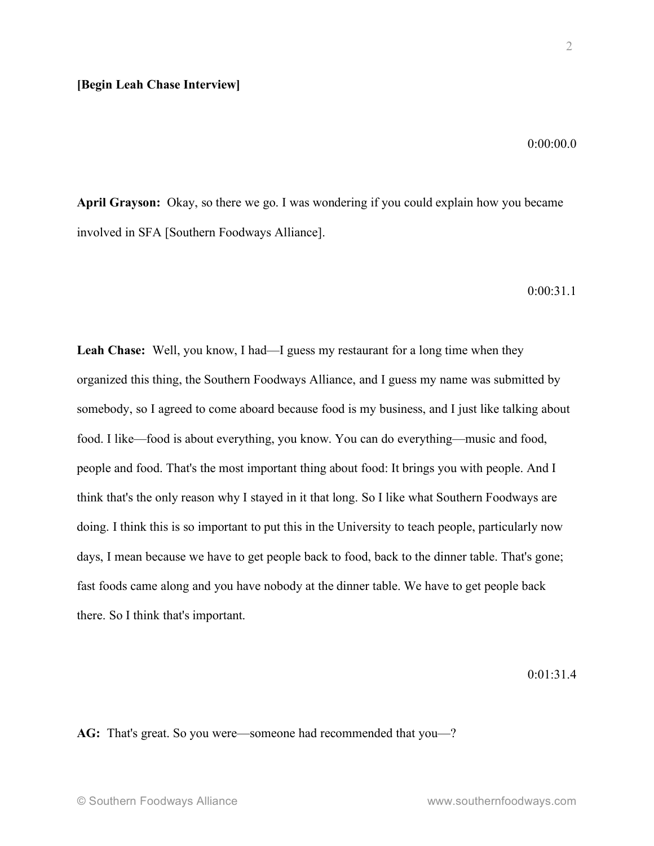2

0:00:00.0

**April Grayson:** Okay, so there we go. I was wondering if you could explain how you became involved in SFA [Southern Foodways Alliance].

0:00:31.1

**Leah Chase:** Well, you know, I had—I guess my restaurant for a long time when they organized this thing, the Southern Foodways Alliance, and I guess my name was submitted by somebody, so I agreed to come aboard because food is my business, and I just like talking about food. I like—food is about everything, you know. You can do everything—music and food, people and food. That's the most important thing about food: It brings you with people. And I think that's the only reason why I stayed in it that long. So I like what Southern Foodways are doing. I think this is so important to put this in the University to teach people, particularly now days, I mean because we have to get people back to food, back to the dinner table. That's gone; fast foods came along and you have nobody at the dinner table. We have to get people back there. So I think that's important.

 $0.01.31.4$ 

**AG:** That's great. So you were—someone had recommended that you—?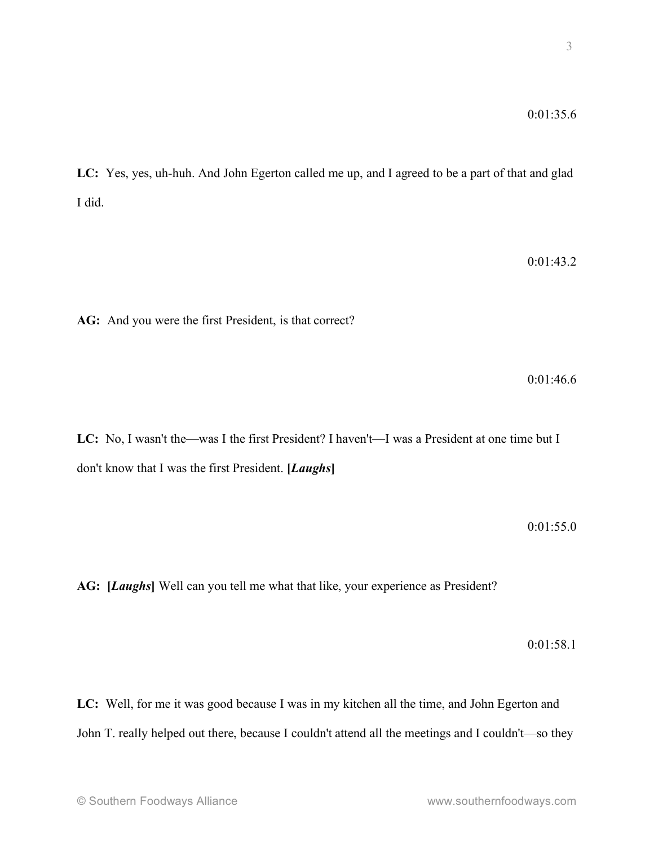**LC:** Yes, yes, uh-huh. And John Egerton called me up, and I agreed to be a part of that and glad I did.

0:01:43.2

**AG:** And you were the first President, is that correct?

0:01:46.6

**LC:** No, I wasn't the—was I the first President? I haven't—I was a President at one time but I don't know that I was the first President. **[***Laughs***]**

0:01:55.0

**AG: [***Laughs***]** Well can you tell me what that like, your experience as President?

0:01:58.1

**LC:** Well, for me it was good because I was in my kitchen all the time, and John Egerton and John T. really helped out there, because I couldn't attend all the meetings and I couldn't—so they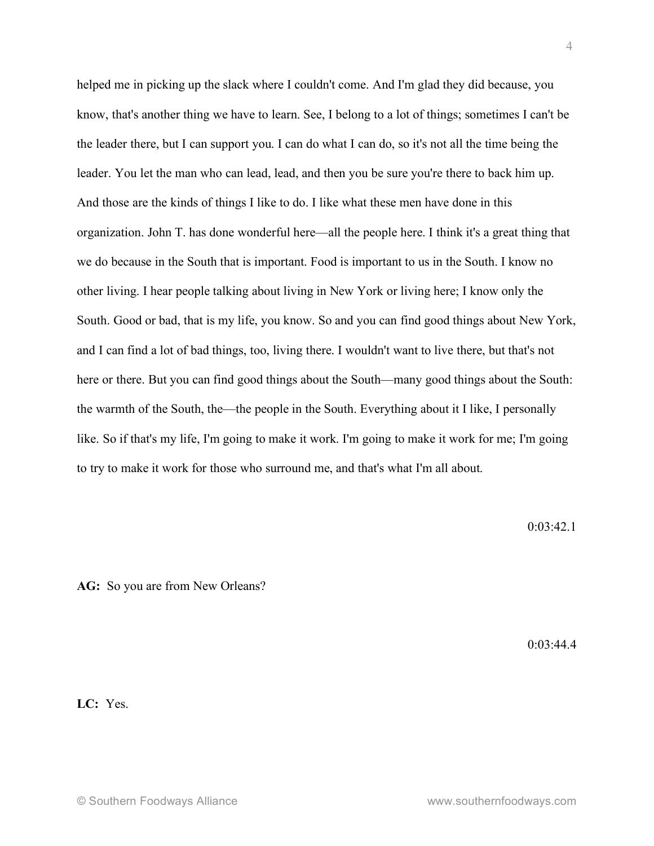helped me in picking up the slack where I couldn't come. And I'm glad they did because, you know, that's another thing we have to learn. See, I belong to a lot of things; sometimes I can't be the leader there, but I can support you. I can do what I can do, so it's not all the time being the leader. You let the man who can lead, lead, and then you be sure you're there to back him up. And those are the kinds of things I like to do. I like what these men have done in this organization. John T. has done wonderful here—all the people here. I think it's a great thing that we do because in the South that is important. Food is important to us in the South. I know no other living. I hear people talking about living in New York or living here; I know only the South. Good or bad, that is my life, you know. So and you can find good things about New York, and I can find a lot of bad things, too, living there. I wouldn't want to live there, but that's not here or there. But you can find good things about the South—many good things about the South: the warmth of the South, the—the people in the South. Everything about it I like, I personally like. So if that's my life, I'm going to make it work. I'm going to make it work for me; I'm going to try to make it work for those who surround me, and that's what I'm all about.

 $0.03.42.1$ 

AG: So you are from New Orleans?

0:03:44.4

**LC:** Yes.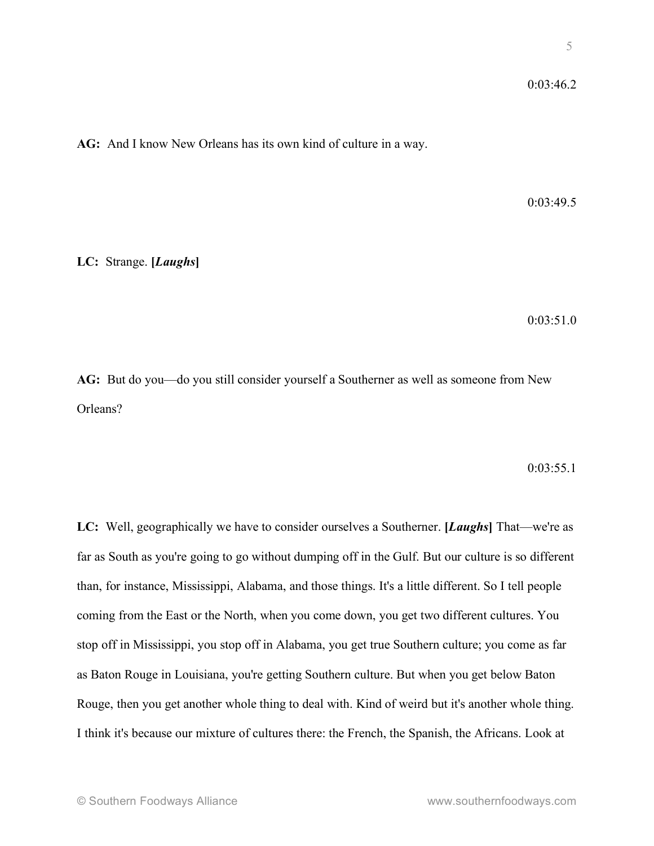**AG:** And I know New Orleans has its own kind of culture in a way.

0:03:49.5

**LC:** Strange. **[***Laughs***]**

0:03:51.0

**AG:** But do you—do you still consider yourself a Southerner as well as someone from New Orleans?

 $0:03:55.1$ 

**LC:** Well, geographically we have to consider ourselves a Southerner. **[***Laughs***]** That—we're as far as South as you're going to go without dumping off in the Gulf. But our culture is so different than, for instance, Mississippi, Alabama, and those things. It's a little different. So I tell people coming from the East or the North, when you come down, you get two different cultures. You stop off in Mississippi, you stop off in Alabama, you get true Southern culture; you come as far as Baton Rouge in Louisiana, you're getting Southern culture. But when you get below Baton Rouge, then you get another whole thing to deal with. Kind of weird but it's another whole thing. I think it's because our mixture of cultures there: the French, the Spanish, the Africans. Look at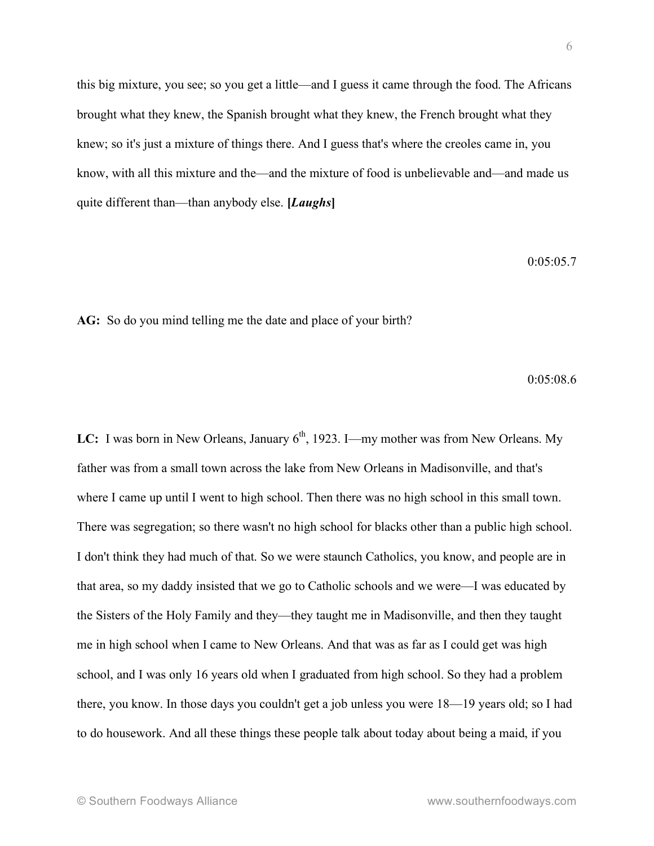this big mixture, you see; so you get a little—and I guess it came through the food. The Africans brought what they knew, the Spanish brought what they knew, the French brought what they knew; so it's just a mixture of things there. And I guess that's where the creoles came in, you know, with all this mixture and the—and the mixture of food is unbelievable and—and made us quite different than—than anybody else. **[***Laughs***]**

0:05:05.7

**AG:** So do you mind telling me the date and place of your birth?

0:05:08.6

LC: I was born in New Orleans, January 6<sup>th</sup>, 1923. I—my mother was from New Orleans. My father was from a small town across the lake from New Orleans in Madisonville, and that's where I came up until I went to high school. Then there was no high school in this small town. There was segregation; so there wasn't no high school for blacks other than a public high school. I don't think they had much of that. So we were staunch Catholics, you know, and people are in that area, so my daddy insisted that we go to Catholic schools and we were—I was educated by the Sisters of the Holy Family and they—they taught me in Madisonville, and then they taught me in high school when I came to New Orleans. And that was as far as I could get was high school, and I was only 16 years old when I graduated from high school. So they had a problem there, you know. In those days you couldn't get a job unless you were 18—19 years old; so I had to do housework. And all these things these people talk about today about being a maid, if you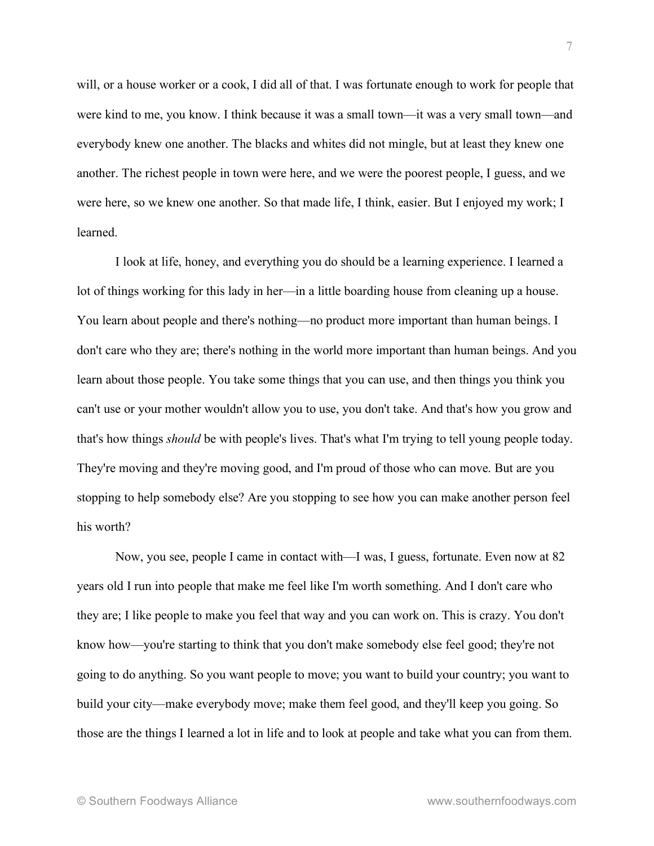will, or a house worker or a cook, I did all of that. I was fortunate enough to work for people that were kind to me, you know. I think because it was a small town—it was a very small town—and everybody knew one another. The blacks and whites did not mingle, but at least they knew one another. The richest people in town were here, and we were the poorest people, I guess, and we were here, so we knew one another. So that made life, I think, easier. But I enjoyed my work; I learned.

I look at life, honey, and everything you do should be a learning experience. I learned a lot of things working for this lady in her—in a little boarding house from cleaning up a house. You learn about people and there's nothing—no product more important than human beings. I don't care who they are; there's nothing in the world more important than human beings. And you learn about those people. You take some things that you can use, and then things you think you can't use or your mother wouldn't allow you to use, you don't take. And that's how you grow and that's how things *should* be with people's lives. That's what I'm trying to tell young people today. They're moving and they're moving good, and I'm proud of those who can move. But are you stopping to help somebody else? Are you stopping to see how you can make another person feel his worth?

Now, you see, people I came in contact with—I was, I guess, fortunate. Even now at 82 years old I run into people that make me feel like I'm worth something. And I don't care who they are; I like people to make you feel that way and you can work on. This is crazy. You don't know how—you're starting to think that you don't make somebody else feel good; they're not going to do anything. So you want people to move; you want to build your country; you want to build your city—make everybody move; make them feel good, and they'll keep you going. So those are the things I learned a lot in life and to look at people and take what you can from them.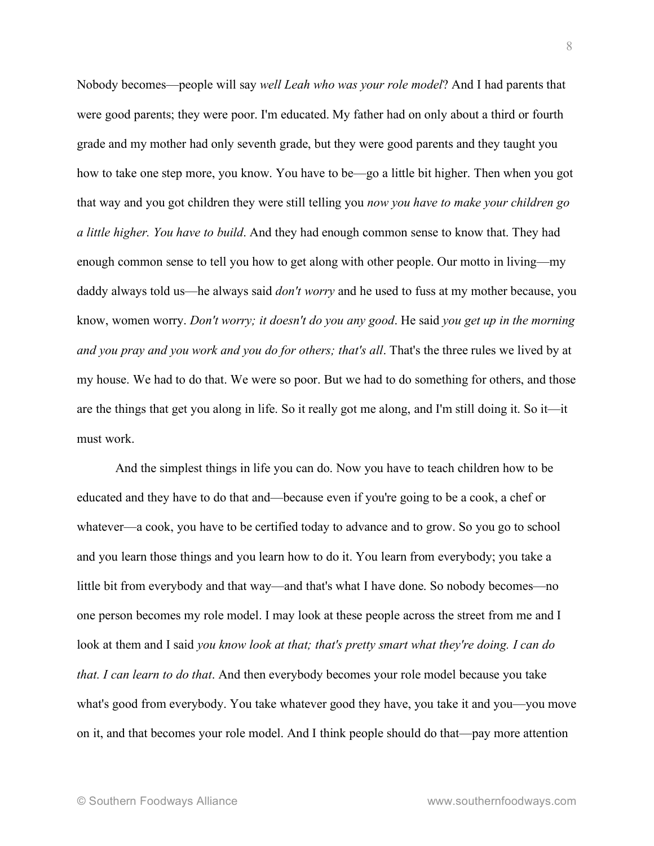Nobody becomes—people will say *well Leah who was your role model*? And I had parents that were good parents; they were poor. I'm educated. My father had on only about a third or fourth grade and my mother had only seventh grade, but they were good parents and they taught you how to take one step more, you know. You have to be—go a little bit higher. Then when you got that way and you got children they were still telling you *now you have to make your children go a little higher. You have to build*. And they had enough common sense to know that. They had enough common sense to tell you how to get along with other people. Our motto in living—my daddy always told us—he always said *don't worry* and he used to fuss at my mother because, you know, women worry. *Don't worry; it doesn't do you any good*. He said *you get up in the morning and you pray and you work and you do for others; that's all*. That's the three rules we lived by at my house. We had to do that. We were so poor. But we had to do something for others, and those are the things that get you along in life. So it really got me along, and I'm still doing it. So it—it must work.

And the simplest things in life you can do. Now you have to teach children how to be educated and they have to do that and—because even if you're going to be a cook, a chef or whatever—a cook, you have to be certified today to advance and to grow. So you go to school and you learn those things and you learn how to do it. You learn from everybody; you take a little bit from everybody and that way—and that's what I have done. So nobody becomes—no one person becomes my role model. I may look at these people across the street from me and I look at them and I said *you know look at that; that's pretty smart what they're doing. I can do that. I can learn to do that*. And then everybody becomes your role model because you take what's good from everybody. You take whatever good they have, you take it and you—you move on it, and that becomes your role model. And I think people should do that—pay more attention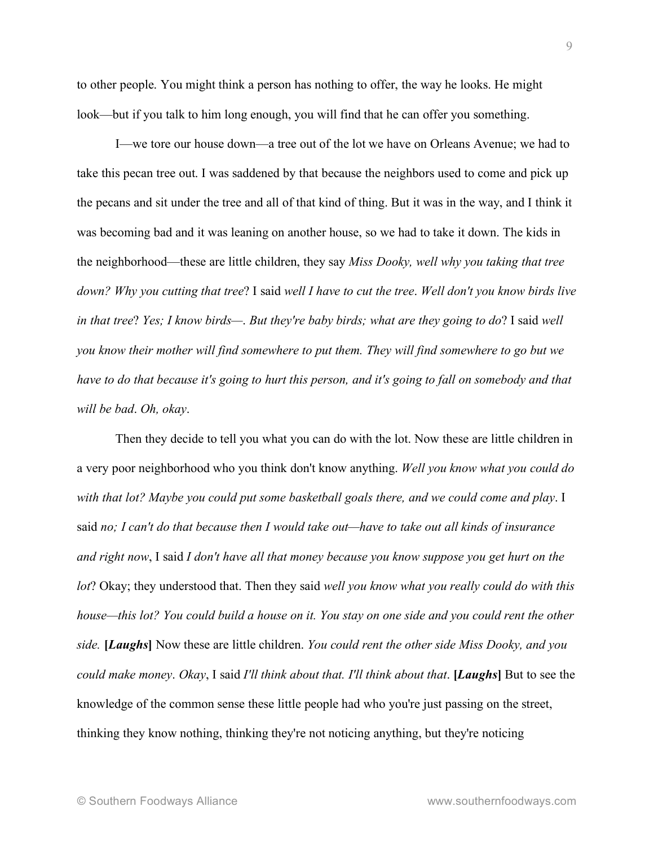to other people. You might think a person has nothing to offer, the way he looks. He might look—but if you talk to him long enough, you will find that he can offer you something.

I—we tore our house down—a tree out of the lot we have on Orleans Avenue; we had to take this pecan tree out. I was saddened by that because the neighbors used to come and pick up the pecans and sit under the tree and all of that kind of thing. But it was in the way, and I think it was becoming bad and it was leaning on another house, so we had to take it down. The kids in the neighborhood—these are little children, they say *Miss Dooky, well why you taking that tree down? Why you cutting that tree*? I said *well I have to cut the tree*. *Well don't you know birds live in that tree*? *Yes; I know birds—*. *But they're baby birds; what are they going to do*? I said *well you know their mother will find somewhere to put them. They will find somewhere to go but we have to do that because it's going to hurt this person, and it's going to fall on somebody and that will be bad*. *Oh, okay*.

Then they decide to tell you what you can do with the lot. Now these are little children in a very poor neighborhood who you think don't know anything. *Well you know what you could do with that lot? Maybe you could put some basketball goals there, and we could come and play*. I said *no; I can't do that because then I would take out—have to take out all kinds of insurance and right now*, I said *I don't have all that money because you know suppose you get hurt on the lot*? Okay; they understood that. Then they said *well you know what you really could do with this house—this lot? You could build a house on it. You stay on one side and you could rent the other side.* **[***Laughs***]** Now these are little children. *You could rent the other side Miss Dooky, and you could make money*. *Okay*, I said *I'll think about that. I'll think about that*. **[***Laughs***]** But to see the knowledge of the common sense these little people had who you're just passing on the street, thinking they know nothing, thinking they're not noticing anything, but they're noticing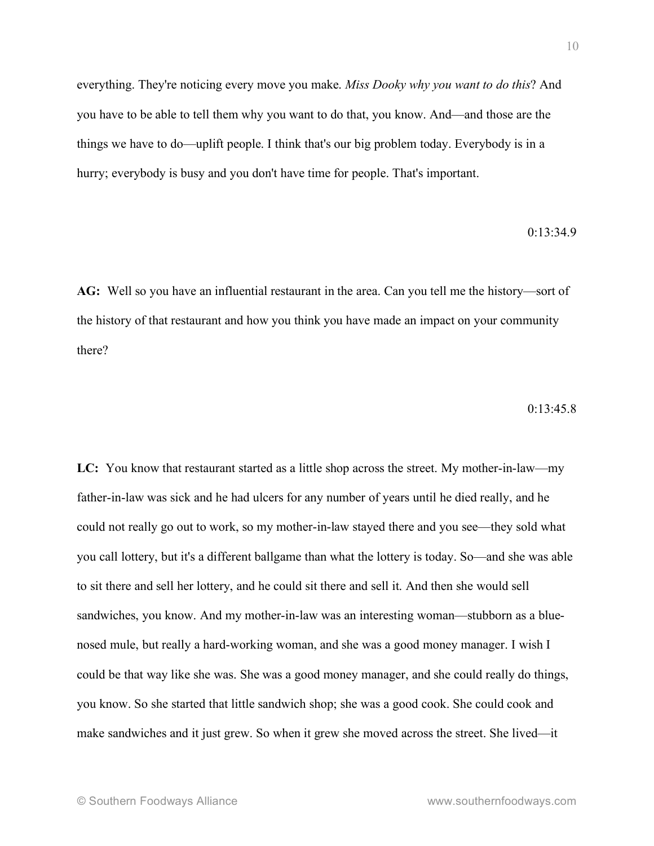everything. They're noticing every move you make. *Miss Dooky why you want to do this*? And you have to be able to tell them why you want to do that, you know. And—and those are the things we have to do—uplift people. I think that's our big problem today. Everybody is in a hurry; everybody is busy and you don't have time for people. That's important.

#### $0.13.34.9$

**AG:** Well so you have an influential restaurant in the area. Can you tell me the history—sort of the history of that restaurant and how you think you have made an impact on your community there?

#### $0.13.45.8$

**LC:** You know that restaurant started as a little shop across the street. My mother-in-law—my father-in-law was sick and he had ulcers for any number of years until he died really, and he could not really go out to work, so my mother-in-law stayed there and you see—they sold what you call lottery, but it's a different ballgame than what the lottery is today. So—and she was able to sit there and sell her lottery, and he could sit there and sell it. And then she would sell sandwiches, you know. And my mother-in-law was an interesting woman—stubborn as a bluenosed mule, but really a hard-working woman, and she was a good money manager. I wish I could be that way like she was. She was a good money manager, and she could really do things, you know. So she started that little sandwich shop; she was a good cook. She could cook and make sandwiches and it just grew. So when it grew she moved across the street. She lived—it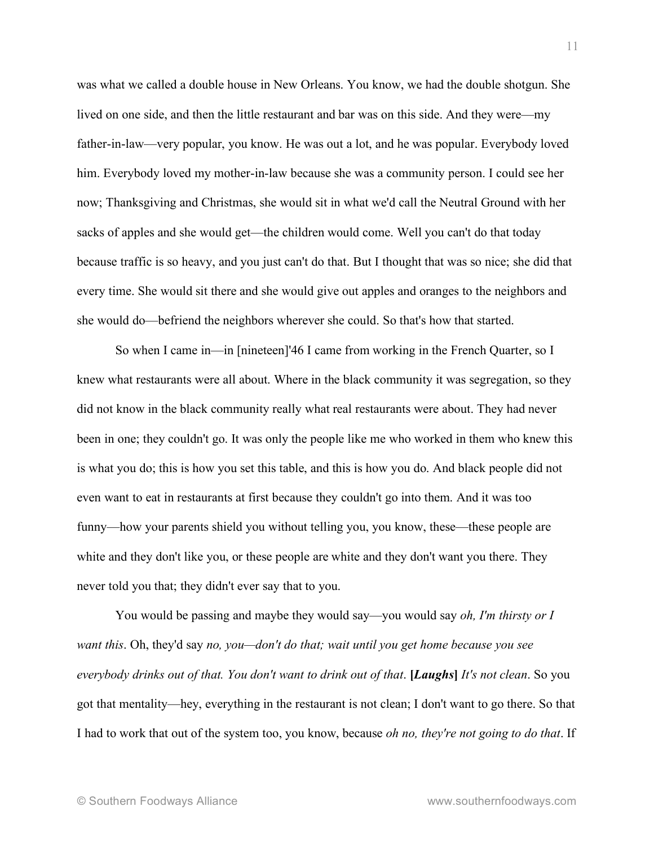was what we called a double house in New Orleans. You know, we had the double shotgun. She lived on one side, and then the little restaurant and bar was on this side. And they were—my father-in-law—very popular, you know. He was out a lot, and he was popular. Everybody loved him. Everybody loved my mother-in-law because she was a community person. I could see her now; Thanksgiving and Christmas, she would sit in what we'd call the Neutral Ground with her sacks of apples and she would get—the children would come. Well you can't do that today because traffic is so heavy, and you just can't do that. But I thought that was so nice; she did that every time. She would sit there and she would give out apples and oranges to the neighbors and she would do—befriend the neighbors wherever she could. So that's how that started.

So when I came in—in [nineteen]'46 I came from working in the French Quarter, so I knew what restaurants were all about. Where in the black community it was segregation, so they did not know in the black community really what real restaurants were about. They had never been in one; they couldn't go. It was only the people like me who worked in them who knew this is what you do; this is how you set this table, and this is how you do. And black people did not even want to eat in restaurants at first because they couldn't go into them. And it was too funny—how your parents shield you without telling you, you know, these—these people are white and they don't like you, or these people are white and they don't want you there. They never told you that; they didn't ever say that to you.

You would be passing and maybe they would say—you would say *oh, I'm thirsty or I want this*. Oh, they'd say *no, you—don't do that; wait until you get home because you see* everybody drinks out of that. You don't want to drink out of that. [Laughs] It's not clean. So you got that mentality—hey, everything in the restaurant is not clean; I don't want to go there. So that I had to work that out of the system too, you know, because *oh no, they're not going to do that*. If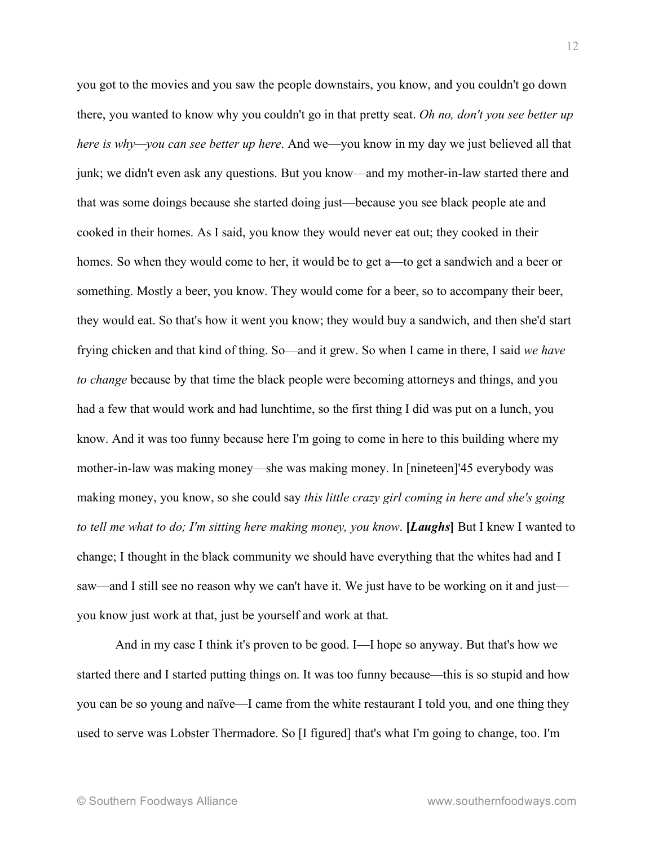you got to the movies and you saw the people downstairs, you know, and you couldn't go down there, you wanted to know why you couldn't go in that pretty seat. *Oh no, don't you see better up here is why—you can see better up here*. And we—you know in my day we just believed all that junk; we didn't even ask any questions. But you know—and my mother-in-law started there and that was some doings because she started doing just—because you see black people ate and cooked in their homes. As I said, you know they would never eat out; they cooked in their homes. So when they would come to her, it would be to get a—to get a sandwich and a beer or something. Mostly a beer, you know. They would come for a beer, so to accompany their beer, they would eat. So that's how it went you know; they would buy a sandwich, and then she'd start frying chicken and that kind of thing. So—and it grew. So when I came in there, I said *we have to change* because by that time the black people were becoming attorneys and things, and you had a few that would work and had lunchtime, so the first thing I did was put on a lunch, you know. And it was too funny because here I'm going to come in here to this building where my mother-in-law was making money—she was making money. In [nineteen]'45 everybody was making money, you know, so she could say *this little crazy girl coming in here and she's going to tell me what to do; I'm sitting here making money, you know*. **[***Laughs***]** But I knew I wanted to change; I thought in the black community we should have everything that the whites had and I saw—and I still see no reason why we can't have it. We just have to be working on it and just you know just work at that, just be yourself and work at that.

And in my case I think it's proven to be good. I—I hope so anyway. But that's how we started there and I started putting things on. It was too funny because—this is so stupid and how you can be so young and naïve—I came from the white restaurant I told you, and one thing they used to serve was Lobster Thermadore. So [I figured] that's what I'm going to change, too. I'm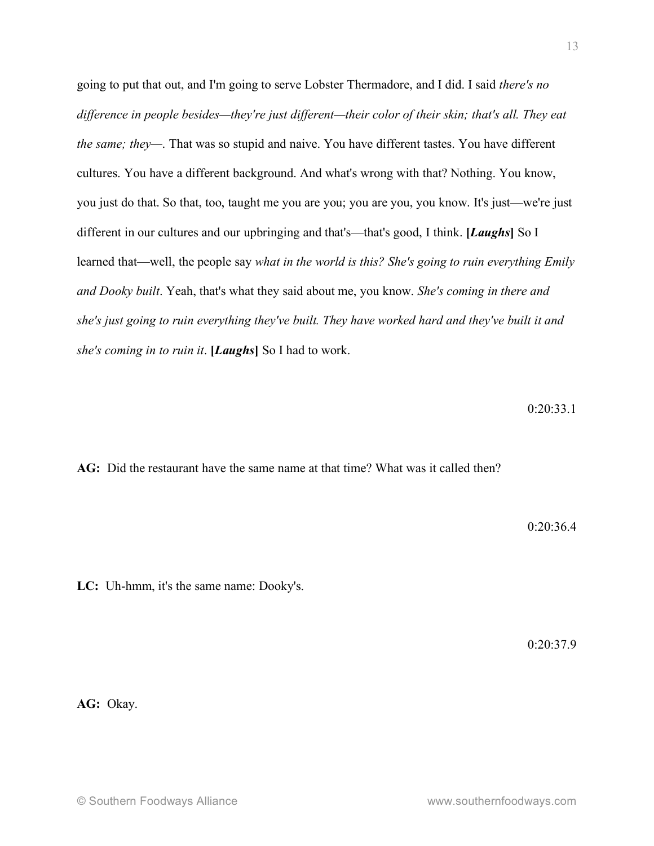going to put that out, and I'm going to serve Lobster Thermadore, and I did. I said *there's no difference in people besides—they're just different—their color of their skin; that's all. They eat the same; they—*. That was so stupid and naive. You have different tastes. You have different cultures. You have a different background. And what's wrong with that? Nothing. You know, you just do that. So that, too, taught me you are you; you are you, you know. It's just—we're just different in our cultures and our upbringing and that's—that's good, I think. **[***Laughs***]** So I learned that—well, the people say *what in the world is this? She's going to ruin everything Emily and Dooky built*. Yeah, that's what they said about me, you know. *She's coming in there and she's just going to ruin everything they've built. They have worked hard and they've built it and she's coming in to ruin it*. **[***Laughs***]** So I had to work.

 $0.20.33.1$ 

**AG:** Did the restaurant have the same name at that time? What was it called then?

0:20:36.4

**LC:** Uh-hmm, it's the same name: Dooky's.

0:20:37.9

**AG:** Okay.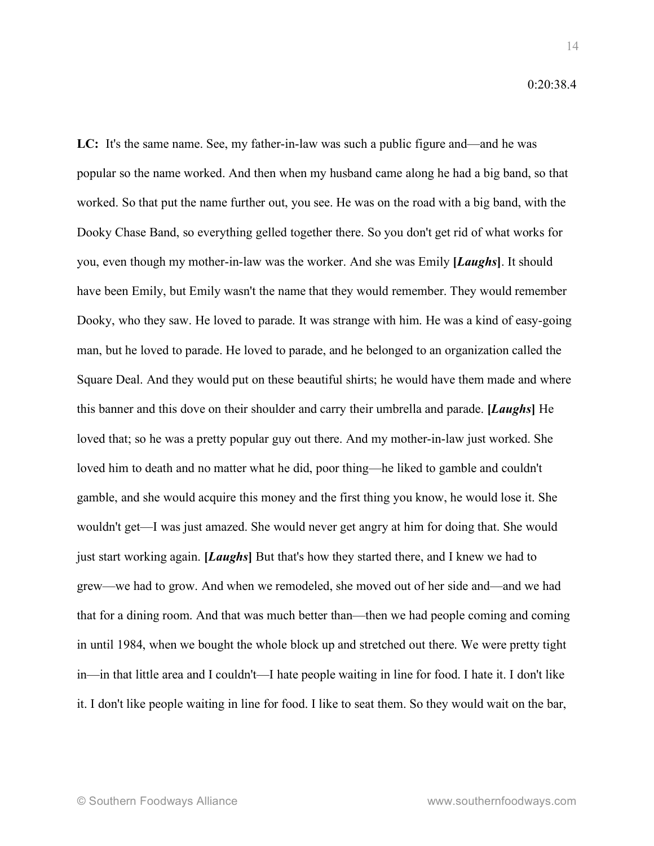**LC:** It's the same name. See, my father-in-law was such a public figure and—and he was popular so the name worked. And then when my husband came along he had a big band, so that worked. So that put the name further out, you see. He was on the road with a big band, with the Dooky Chase Band, so everything gelled together there. So you don't get rid of what works for you, even though my mother-in-law was the worker. And she was Emily **[***Laughs***]**. It should have been Emily, but Emily wasn't the name that they would remember. They would remember Dooky, who they saw. He loved to parade. It was strange with him. He was a kind of easy-going man, but he loved to parade. He loved to parade, and he belonged to an organization called the Square Deal. And they would put on these beautiful shirts; he would have them made and where this banner and this dove on their shoulder and carry their umbrella and parade. **[***Laughs***]** He loved that; so he was a pretty popular guy out there. And my mother-in-law just worked. She loved him to death and no matter what he did, poor thing—he liked to gamble and couldn't gamble, and she would acquire this money and the first thing you know, he would lose it. She wouldn't get—I was just amazed. She would never get angry at him for doing that. She would just start working again. **[***Laughs***]** But that's how they started there, and I knew we had to grew—we had to grow. And when we remodeled, she moved out of her side and—and we had that for a dining room. And that was much better than—then we had people coming and coming in until 1984, when we bought the whole block up and stretched out there. We were pretty tight in—in that little area and I couldn't—I hate people waiting in line for food. I hate it. I don't like it. I don't like people waiting in line for food. I like to seat them. So they would wait on the bar,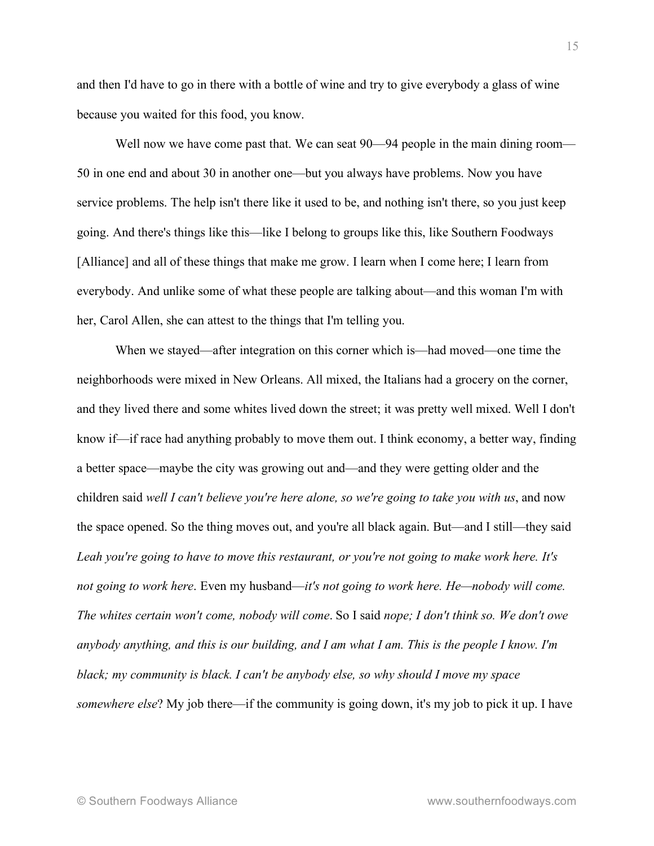and then I'd have to go in there with a bottle of wine and try to give everybody a glass of wine because you waited for this food, you know.

Well now we have come past that. We can seat  $90-94$  people in the main dining room— 50 in one end and about 30 in another one—but you always have problems. Now you have service problems. The help isn't there like it used to be, and nothing isn't there, so you just keep going. And there's things like this—like I belong to groups like this, like Southern Foodways [Alliance] and all of these things that make me grow. I learn when I come here; I learn from everybody. And unlike some of what these people are talking about—and this woman I'm with her, Carol Allen, she can attest to the things that I'm telling you.

When we stayed—after integration on this corner which is—had moved—one time the neighborhoods were mixed in New Orleans. All mixed, the Italians had a grocery on the corner, and they lived there and some whites lived down the street; it was pretty well mixed. Well I don't know if—if race had anything probably to move them out. I think economy, a better way, finding a better space—maybe the city was growing out and—and they were getting older and the children said *well I can't believe you're here alone, so we're going to take you with us*, and now the space opened. So the thing moves out, and you're all black again. But—and I still—they said *Leah you're going to have to move this restaurant, or you're not going to make work here. It's not going to work here*. Even my husband—*it's not going to work here. He—nobody will come. The whites certain won't come, nobody will come*. So I said *nope; I don't think so. We don't owe* anybody anything, and this is our building, and I am what I am. This is the people I know. I'm *black; my community is black. I can't be anybody else, so why should I move my space somewhere else*? My job there—if the community is going down, it's my job to pick it up. I have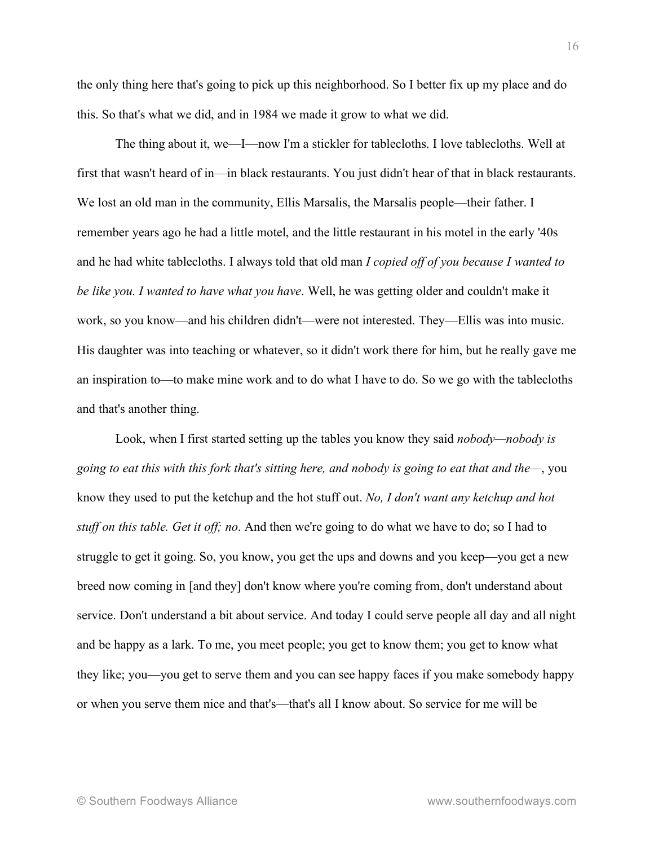the only thing here that's going to pick up this neighborhood. So I better fix up my place and do this. So that's what we did, and in 1984 we made it grow to what we did.

The thing about it, we—I—now I'm a stickler for tablecloths. I love tablecloths. Well at first that wasn't heard of in—in black restaurants. You just didn't hear of that in black restaurants. We lost an old man in the community, Ellis Marsalis, the Marsalis people—their father. I remember years ago he had a little motel, and the little restaurant in his motel in the early '40s and he had white tablecloths. I always told that old man *I copied off of you because I wanted to be like you. I wanted to have what you have*. Well, he was getting older and couldn't make it work, so you know—and his children didn't—were not interested. They—Ellis was into music. His daughter was into teaching or whatever, so it didn't work there for him, but he really gave me an inspiration to—to make mine work and to do what I have to do. So we go with the tablecloths and that's another thing.

Look, when I first started setting up the tables you know they said *nobody—nobody is going to eat this with this fork that's sitting here, and nobody is going to eat that and the—*, you know they used to put the ketchup and the hot stuff out. *No, I don't want any ketchup and hot stuff on this table. Get it off; no*. And then we're going to do what we have to do; so I had to struggle to get it going. So, you know, you get the ups and downs and you keep—you get a new breed now coming in [and they] don't know where you're coming from, don't understand about service. Don't understand a bit about service. And today I could serve people all day and all night and be happy as a lark. To me, you meet people; you get to know them; you get to know what they like; you—you get to serve them and you can see happy faces if you make somebody happy or when you serve them nice and that's—that's all I know about. So service for me will be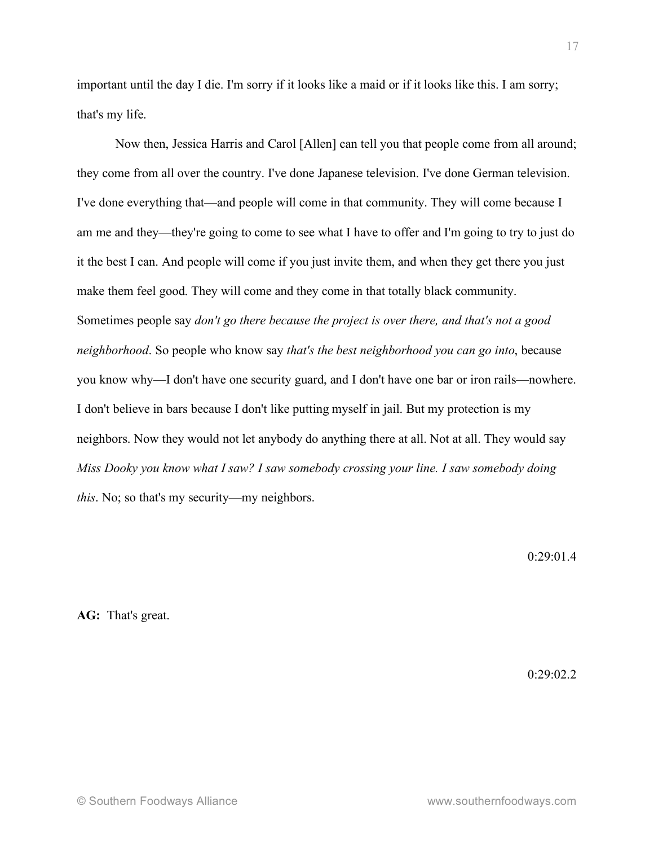important until the day I die. I'm sorry if it looks like a maid or if it looks like this. I am sorry; that's my life.

Now then, Jessica Harris and Carol [Allen] can tell you that people come from all around; they come from all over the country. I've done Japanese television. I've done German television. I've done everything that—and people will come in that community. They will come because I am me and they—they're going to come to see what I have to offer and I'm going to try to just do it the best I can. And people will come if you just invite them, and when they get there you just make them feel good. They will come and they come in that totally black community. Sometimes people say *don't go there because the project is over there, and that's not a good neighborhood*. So people who know say *that's the best neighborhood you can go into*, because you know why—I don't have one security guard, and I don't have one bar or iron rails—nowhere. I don't believe in bars because I don't like putting myself in jail. But my protection is my neighbors. Now they would not let anybody do anything there at all. Not at all. They would say *Miss Dooky you know what I saw? I saw somebody crossing your line. I saw somebody doing this*. No; so that's my security—my neighbors.

0:29:01.4

**AG:** That's great.

 $0.29 \cdot 02.2$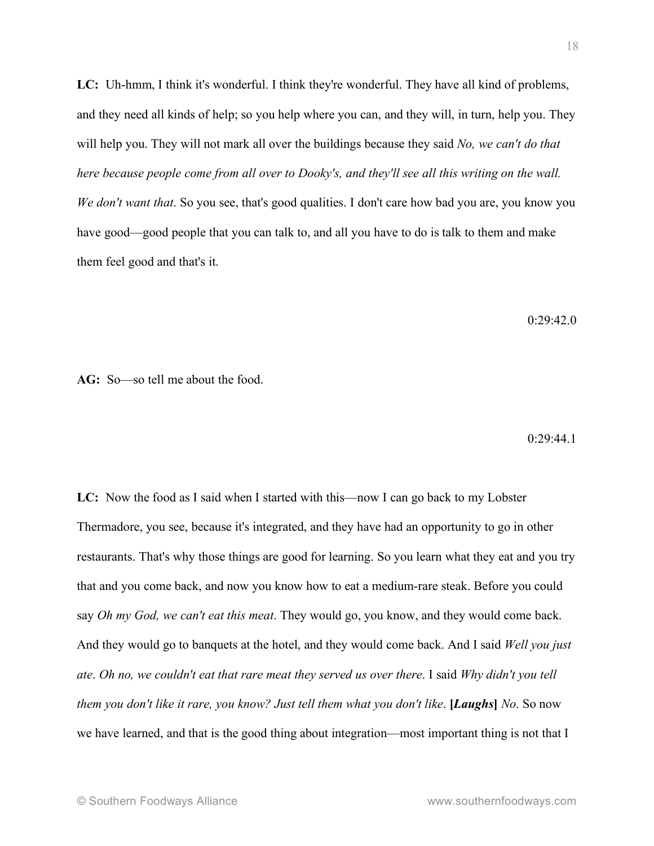**LC:** Uh-hmm, I think it's wonderful. I think they're wonderful. They have all kind of problems, and they need all kinds of help; so you help where you can, and they will, in turn, help you. They will help you. They will not mark all over the buildings because they said *No, we can't do that here because people come from all over to Dooky's, and they'll see all this writing on the wall. We don't want that*. So you see, that's good qualities. I don't care how bad you are, you know you have good—good people that you can talk to, and all you have to do is talk to them and make them feel good and that's it.

 $0.29.42.0$ 

**AG:** So—so tell me about the food.

0:29:44.1

**LC:** Now the food as I said when I started with this—now I can go back to my Lobster Thermadore, you see, because it's integrated, and they have had an opportunity to go in other restaurants. That's why those things are good for learning. So you learn what they eat and you try that and you come back, and now you know how to eat a medium-rare steak. Before you could say *Oh my God, we can't eat this meat*. They would go, you know, and they would come back. And they would go to banquets at the hotel, and they would come back. And I said *Well you just ate*. *Oh no, we couldn't eat that rare meat they served us over there*. I said *Why didn't you tell them you don't like it rare, you know? Just tell them what you don't like*. **[***Laughs***]** *No*. So now we have learned, and that is the good thing about integration—most important thing is not that I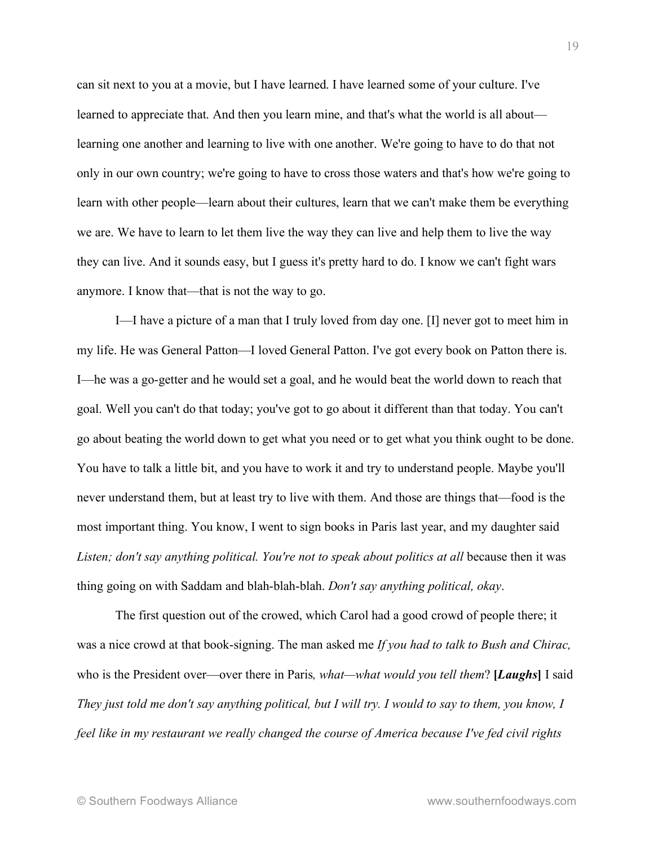can sit next to you at a movie, but I have learned. I have learned some of your culture. I've learned to appreciate that. And then you learn mine, and that's what the world is all about learning one another and learning to live with one another. We're going to have to do that not only in our own country; we're going to have to cross those waters and that's how we're going to learn with other people—learn about their cultures, learn that we can't make them be everything we are. We have to learn to let them live the way they can live and help them to live the way they can live. And it sounds easy, but I guess it's pretty hard to do. I know we can't fight wars anymore. I know that—that is not the way to go.

I—I have a picture of a man that I truly loved from day one. [I] never got to meet him in my life. He was General Patton—I loved General Patton. I've got every book on Patton there is. I—he was a go-getter and he would set a goal, and he would beat the world down to reach that goal. Well you can't do that today; you've got to go about it different than that today. You can't go about beating the world down to get what you need or to get what you think ought to be done. You have to talk a little bit, and you have to work it and try to understand people. Maybe you'll never understand them, but at least try to live with them. And those are things that—food is the most important thing. You know, I went to sign books in Paris last year, and my daughter said *Listen; don't say anything political. You're not to speak about politics at all* because then it was thing going on with Saddam and blah-blah-blah. *Don't say anything political, okay*.

The first question out of the crowed, which Carol had a good crowd of people there; it was a nice crowd at that book-signing. The man asked me *If you had to talk to Bush and Chirac,* who is the President over—over there in Paris*, what—what would you tell them*? **[***Laughs***]** I said They just told me don't say anything political, but I will try. I would to say to them, you know, I *feel like in my restaurant we really changed the course of America because I've fed civil rights*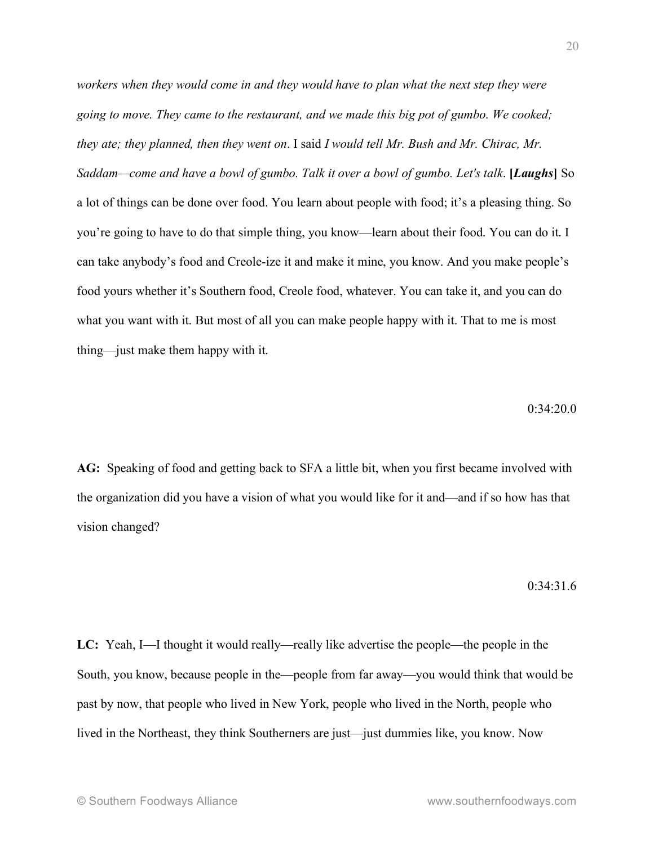*workers when they would come in and they would have to plan what the next step they were going to move. They came to the restaurant, and we made this big pot of gumbo. We cooked; they ate; they planned, then they went on*. I said *I would tell Mr. Bush and Mr. Chirac, Mr. Saddam—come and have a bowl of gumbo. Talk it over a bowl of gumbo. Let's talk*. **[***Laughs***]** So a lot of things can be done over food. You learn about people with food; it's a pleasing thing. So you're going to have to do that simple thing, you know—learn about their food. You can do it. I can take anybody's food and Creole-ize it and make it mine, you know. And you make people's food yours whether it's Southern food, Creole food, whatever. You can take it, and you can do what you want with it. But most of all you can make people happy with it. That to me is most thing—just make them happy with it.

#### $0.34.20.0$

**AG:** Speaking of food and getting back to SFA a little bit, when you first became involved with the organization did you have a vision of what you would like for it and—and if so how has that vision changed?

0:34:31.6

**LC:** Yeah, I—I thought it would really—really like advertise the people—the people in the South, you know, because people in the—people from far away—you would think that would be past by now, that people who lived in New York, people who lived in the North, people who lived in the Northeast, they think Southerners are just—just dummies like, you know. Now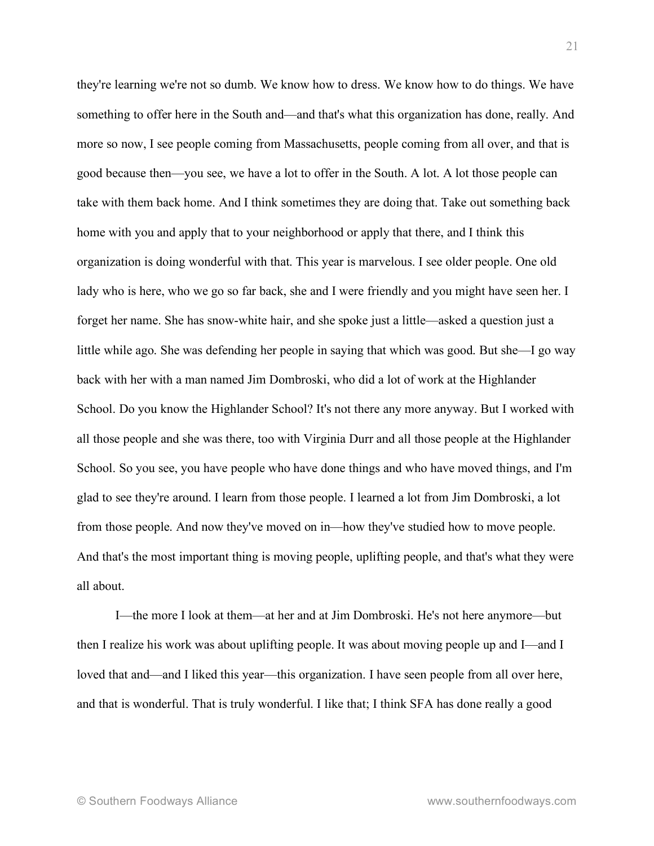they're learning we're not so dumb. We know how to dress. We know how to do things. We have something to offer here in the South and—and that's what this organization has done, really. And more so now, I see people coming from Massachusetts, people coming from all over, and that is good because then—you see, we have a lot to offer in the South. A lot. A lot those people can take with them back home. And I think sometimes they are doing that. Take out something back home with you and apply that to your neighborhood or apply that there, and I think this organization is doing wonderful with that. This year is marvelous. I see older people. One old lady who is here, who we go so far back, she and I were friendly and you might have seen her. I forget her name. She has snow-white hair, and she spoke just a little—asked a question just a little while ago. She was defending her people in saying that which was good. But she—I go way back with her with a man named Jim Dombroski, who did a lot of work at the Highlander School. Do you know the Highlander School? It's not there any more anyway. But I worked with all those people and she was there, too with Virginia Durr and all those people at the Highlander School. So you see, you have people who have done things and who have moved things, and I'm glad to see they're around. I learn from those people. I learned a lot from Jim Dombroski, a lot from those people. And now they've moved on in—how they've studied how to move people. And that's the most important thing is moving people, uplifting people, and that's what they were all about.

I—the more I look at them—at her and at Jim Dombroski. He's not here anymore—but then I realize his work was about uplifting people. It was about moving people up and I—and I loved that and—and I liked this year—this organization. I have seen people from all over here, and that is wonderful. That is truly wonderful. I like that; I think SFA has done really a good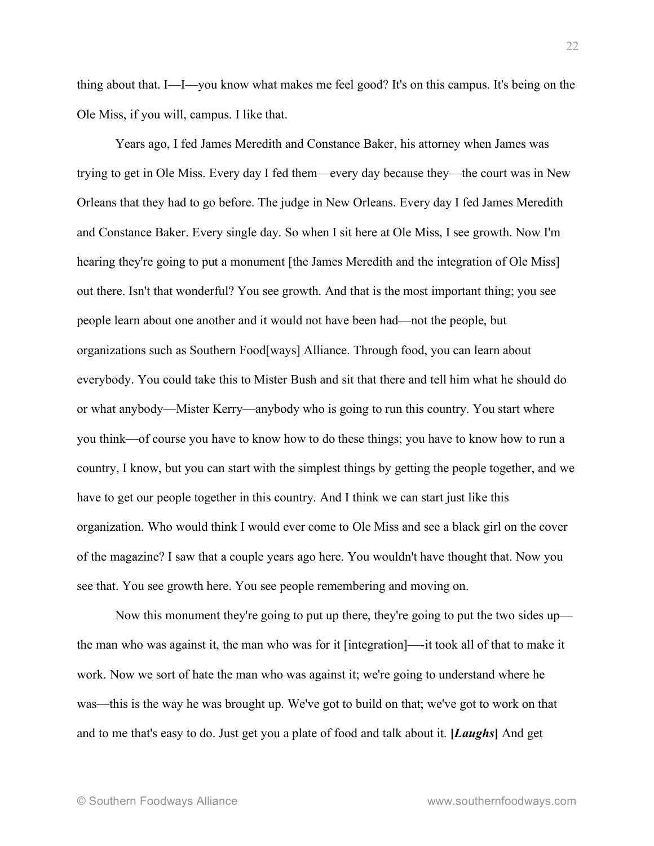thing about that. I—I—you know what makes me feel good? It's on this campus. It's being on the Ole Miss, if you will, campus. I like that.

Years ago, I fed James Meredith and Constance Baker, his attorney when James was trying to get in Ole Miss. Every day I fed them—every day because they—the court was in New Orleans that they had to go before. The judge in New Orleans. Every day I fed James Meredith and Constance Baker. Every single day. So when I sit here at Ole Miss, I see growth. Now I'm hearing they're going to put a monument [the James Meredith and the integration of Ole Miss] out there. Isn't that wonderful? You see growth. And that is the most important thing; you see people learn about one another and it would not have been had—not the people, but organizations such as Southern Food[ways] Alliance. Through food, you can learn about everybody. You could take this to Mister Bush and sit that there and tell him what he should do or what anybody—Mister Kerry—anybody who is going to run this country. You start where you think—of course you have to know how to do these things; you have to know how to run a country, I know, but you can start with the simplest things by getting the people together, and we have to get our people together in this country. And I think we can start just like this organization. Who would think I would ever come to Ole Miss and see a black girl on the cover of the magazine? I saw that a couple years ago here. You wouldn't have thought that. Now you see that. You see growth here. You see people remembering and moving on.

Now this monument they're going to put up there, they're going to put the two sides up the man who was against it, the man who was for it [integration]—-it took all of that to make it work. Now we sort of hate the man who was against it; we're going to understand where he was—this is the way he was brought up. We've got to build on that; we've got to work on that and to me that's easy to do. Just get you a plate of food and talk about it. **[***Laughs***]** And get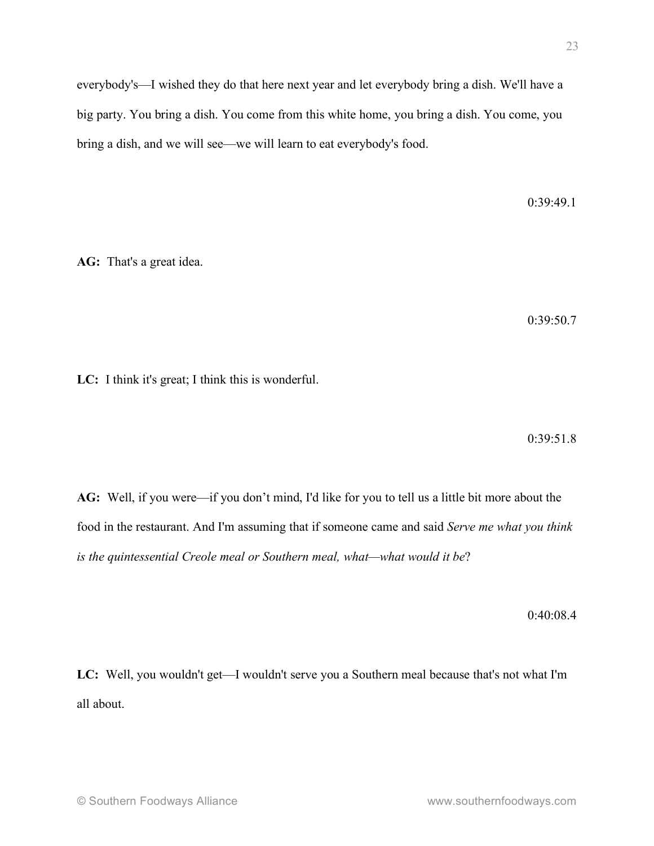everybody's—I wished they do that here next year and let everybody bring a dish. We'll have a big party. You bring a dish. You come from this white home, you bring a dish. You come, you bring a dish, and we will see—we will learn to eat everybody's food.

0:39:49.1

**AG:** That's a great idea.

0:39:50.7

**LC:** I think it's great; I think this is wonderful.

0:39:51.8

**AG:** Well, if you were—if you don't mind, I'd like for you to tell us a little bit more about the food in the restaurant. And I'm assuming that if someone came and said *Serve me what you think is the quintessential Creole meal or Southern meal, what—what would it be*?

0:40:08.4

**LC:** Well, you wouldn't get—I wouldn't serve you a Southern meal because that's not what I'm all about.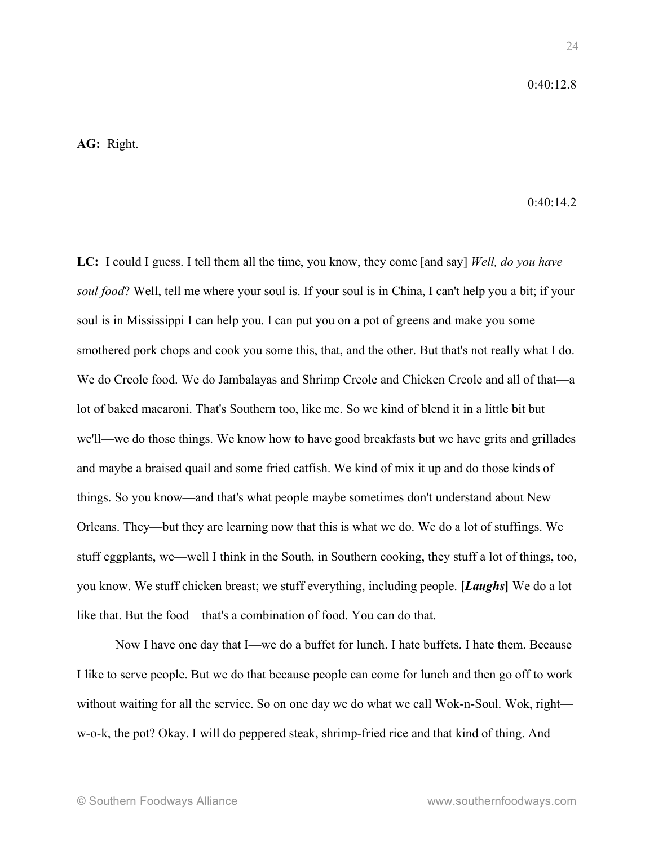### $0.40.12.8$

## **AG:** Right.

 $0.40.14.2$ 

**LC:** I could I guess. I tell them all the time, you know, they come [and say] *Well, do you have soul food*? Well, tell me where your soul is. If your soul is in China, I can't help you a bit; if your soul is in Mississippi I can help you. I can put you on a pot of greens and make you some smothered pork chops and cook you some this, that, and the other. But that's not really what I do. We do Creole food. We do Jambalayas and Shrimp Creole and Chicken Creole and all of that—a lot of baked macaroni. That's Southern too, like me. So we kind of blend it in a little bit but we'll—we do those things. We know how to have good breakfasts but we have grits and grillades and maybe a braised quail and some fried catfish. We kind of mix it up and do those kinds of things. So you know—and that's what people maybe sometimes don't understand about New Orleans. They—but they are learning now that this is what we do. We do a lot of stuffings. We stuff eggplants, we—well I think in the South, in Southern cooking, they stuff a lot of things, too, you know. We stuff chicken breast; we stuff everything, including people. **[***Laughs***]** We do a lot like that. But the food—that's a combination of food. You can do that.

Now I have one day that I—we do a buffet for lunch. I hate buffets. I hate them. Because I like to serve people. But we do that because people can come for lunch and then go off to work without waiting for all the service. So on one day we do what we call Wok-n-Soul. Wok, right w-o-k, the pot? Okay. I will do peppered steak, shrimp-fried rice and that kind of thing. And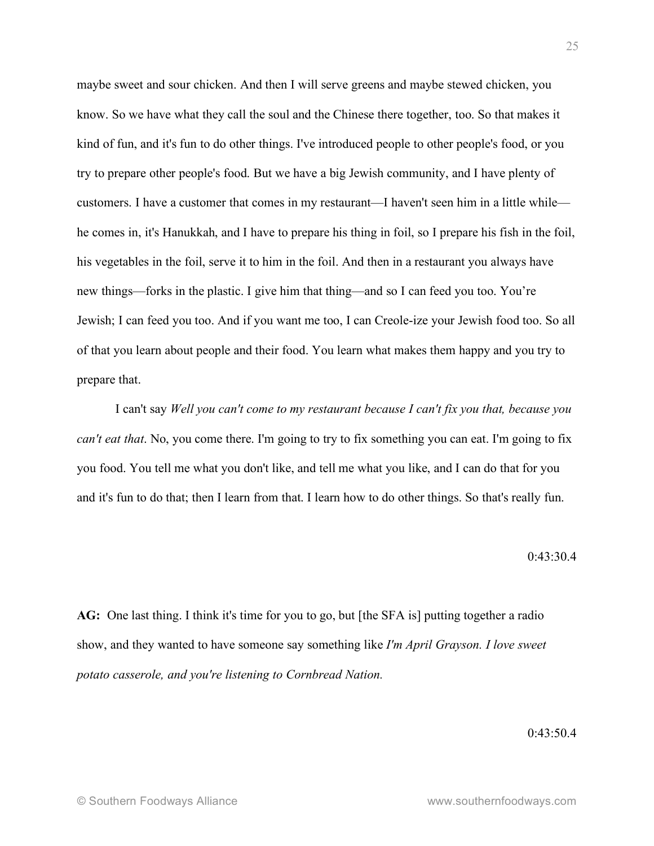maybe sweet and sour chicken. And then I will serve greens and maybe stewed chicken, you know. So we have what they call the soul and the Chinese there together, too. So that makes it kind of fun, and it's fun to do other things. I've introduced people to other people's food, or you try to prepare other people's food. But we have a big Jewish community, and I have plenty of customers. I have a customer that comes in my restaurant—I haven't seen him in a little while he comes in, it's Hanukkah, and I have to prepare his thing in foil, so I prepare his fish in the foil, his vegetables in the foil, serve it to him in the foil. And then in a restaurant you always have new things—forks in the plastic. I give him that thing—and so I can feed you too. You're Jewish; I can feed you too. And if you want me too, I can Creole-ize your Jewish food too. So all of that you learn about people and their food. You learn what makes them happy and you try to prepare that.

I can't say *Well you can't come to my restaurant because I can't fix you that, because you can't eat that*. No, you come there. I'm going to try to fix something you can eat. I'm going to fix you food. You tell me what you don't like, and tell me what you like, and I can do that for you and it's fun to do that; then I learn from that. I learn how to do other things. So that's really fun.

 $0.43.304$ 

**AG:** One last thing. I think it's time for you to go, but [the SFA is] putting together a radio show, and they wanted to have someone say something like *I'm April Grayson. I love sweet potato casserole, and you're listening to Cornbread Nation.*

0:43:50.4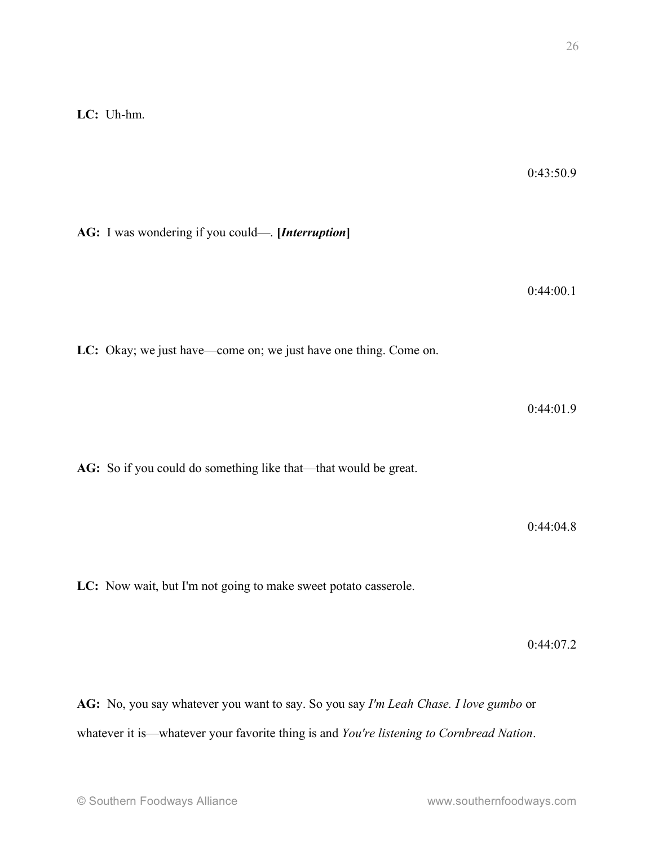0:43:50.9

**AG:** I was wondering if you could—. **[***Interruption***]**

0:44:00.1

**LC:** Okay; we just have—come on; we just have one thing. Come on.

0:44:01.9

**AG:** So if you could do something like that—that would be great.

0:44:04.8

**LC:** Now wait, but I'm not going to make sweet potato casserole.

0:44:07.2

**AG:** No, you say whatever you want to say. So you say *I'm Leah Chase. I love gumbo* or whatever it is—whatever your favorite thing is and *You're listening to Cornbread Nation*.